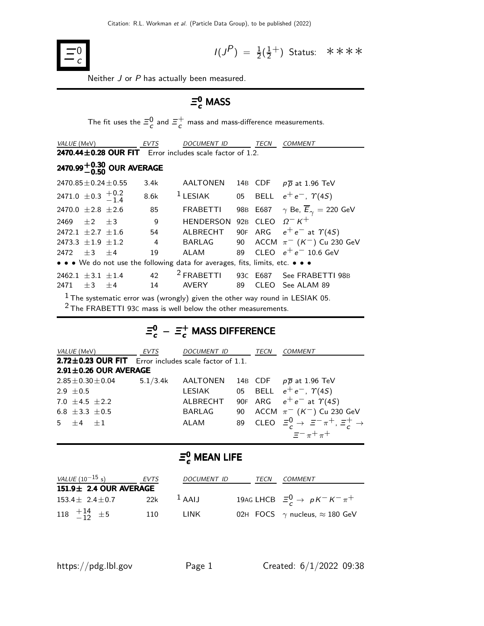

$$
I(J^P) = \frac{1}{2}(\frac{1}{2}^+)
$$
 Status:  $\ast \ast \ast \ast$ 

Neither J or P has actually been measured.

## $\mathsf{\Xi}_{c}^{0}$  MASS

The fit uses the  $\bar{z}_c^0$  and  $\bar{z}_c^+$  $\tau_c$  mass and mass-difference measurements.

| <i>VALUE</i> (MeV)                   |           | <b>EVTS</b>                            |                | <b>DOCUMENT ID</b>                                                            |    | TECN       | <b>COMMENT</b>                                          |
|--------------------------------------|-----------|----------------------------------------|----------------|-------------------------------------------------------------------------------|----|------------|---------------------------------------------------------|
|                                      |           |                                        |                | 2470.44 $\pm$ 0.28 OUR FIT Error includes scale factor of 1.2.                |    |            |                                                         |
|                                      |           | 2470.99 $^{+0.30}_{-0.50}$ OUR AVERAGE |                |                                                                               |    |            |                                                         |
| $2470.85 \pm 0.24 \pm 0.55$          |           |                                        | 3.4k           | AALTONEN                                                                      |    |            | 14B CDF $p\overline{p}$ at 1.96 TeV                     |
| 2471.0 $\pm$ 0.3 $\frac{+0.2}{-1.4}$ |           |                                        | 8.6k           | $1$ LESIAK                                                                    |    |            | 05 BELL $e^+e^-$ , $\Upsilon(4S)$                       |
| 2470.0 $\pm 2.8 \pm 2.6$             |           |                                        | 85             | <b>FRABETTI</b>                                                               |    |            | 98B E687 $\gamma$ Be, $\overline{E}_{\gamma} = 220$ GeV |
| $2469 + 2 + 3$                       |           |                                        | 9              | <b>HENDERSON</b>                                                              |    | $92B$ CLEO | $Q-K^+$                                                 |
| $2472.1 + 2.7 + 1.6$                 |           |                                        | 54             |                                                                               |    |            | ALBRECHT 90F ARG $e^+e^-$ at $\gamma(4S)$               |
| 2473.3 $\pm 1.9$ $\pm 1.2$           |           |                                        | $\overline{4}$ |                                                                               |    |            | BARLAG 90 ACCM $\pi^-$ (K <sup>-</sup> ) Cu 230 GeV     |
| 2472                                 | $+3$ $+4$ |                                        | 19             | ALAM                                                                          | 89 |            | CLEO $e^+e^-$ 10.6 GeV                                  |
|                                      |           |                                        |                | • • • We do not use the following data for averages, fits, limits, etc. • • • |    |            |                                                         |
| 2462.1 $\pm$ 3.1 $\pm$ 1.4<br>2471   | $+3$      | $+4$                                   | 42<br>14       | $2$ FRABETTI<br><b>AVERY</b>                                                  | 89 | CLEO       | 93C E687 See FRABETTI 98B<br>See ALAM 89                |
|                                      |           |                                        |                |                                                                               |    |            |                                                         |

 $1$  The systematic error was (wrongly) given the other way round in LESIAK 05.

2 The FRABETTI 93<sup>C</sup> mass is well below the other measurements.

# $\bar{z}_{c}^{0}$  –  $\bar{z}_{c}^{+}$  MASS DIFFERENCE

| <i>VALUE</i> (MeV)       |                             | EVTS     | DOCUMENT ID                                                 |    | TECN | <b>COMMENT</b>                                                    |
|--------------------------|-----------------------------|----------|-------------------------------------------------------------|----|------|-------------------------------------------------------------------|
|                          |                             |          | $2.72 \pm 0.23$ OUR FIT Error includes scale factor of 1.1. |    |      |                                                                   |
|                          | $2.91 \pm 0.26$ OUR AVERAGE |          |                                                             |    |      |                                                                   |
| $2.85 \pm 0.30 \pm 0.04$ |                             | 5.1/3.4k | AALTONEN                                                    |    |      | 14B CDF $p\overline{p}$ at 1.96 TeV                               |
| 2.9 $\pm$ 0.5            |                             |          | LESIAK                                                      |    |      | 05 BELL $e^+e^-$ , $\Upsilon(4S)$                                 |
| 7.0 $\pm$ 4.5 $\pm$ 2.2  |                             |          | ALBRECHT                                                    |    |      | 90F ARG $e^+e^-$ at $\Upsilon(4S)$                                |
| 6.8 $\pm 3.3 \pm 0.5$    |                             |          | <b>BARLAG</b>                                               | 90 |      | ACCM $\pi^-$ (K <sup>-</sup> ) Cu 230 GeV                         |
| $5 + 4 + 1$              |                             |          | ALAM                                                        |    |      | 89 CLEO $\Xi_c^0 \rightarrow \Xi^- \pi^+$ , $\Xi_c^+ \rightarrow$ |
|                          |                             |          |                                                             |    |      | $\equiv$ $-\pi$ + $\pi$ +                                         |

## $\bar{\boldsymbol{\Xi}}_c^0$  MEAN LIFE

| <i>VALUE</i> (10 <sup>-15</sup> s) | EVTS | <b>DOCUMENT ID</b>  | TECN | COMMENT                                      |
|------------------------------------|------|---------------------|------|----------------------------------------------|
| 151.9± 2.4 OUR AVERAGE             |      |                     |      |                                              |
| $153.4 \pm 2.4 \pm 0.7$            | 22k  | $\overline{A}$ AAIJ |      | 19AG LHCB $\Xi_c^0 \rightarrow pK^-K^-\pi^+$ |
| 118 $\frac{+14}{-12}$ $\pm$ 5      | 110  | TINK.               |      | 02H FOCS $\gamma$ nucleus, $\approx$ 180 GeV |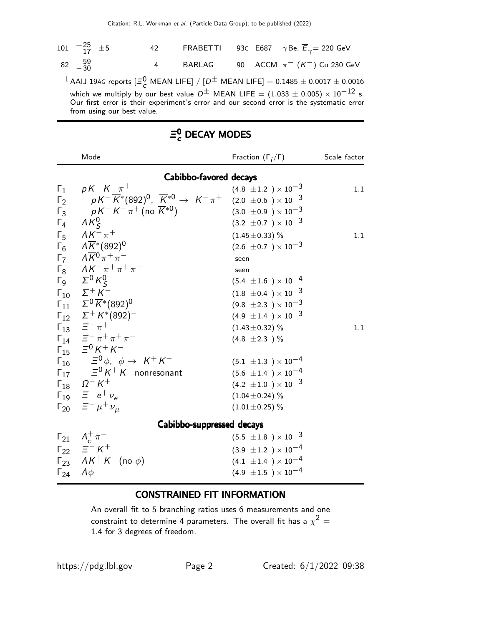| 101 $\begin{array}{cc} +25 \\ -17 \end{array}$ ±5 |                            | 42             | FRABETTI |  | 93C E687 $\gamma$ Be, $\overline{E}_{\gamma}$ = 220 GeV                                                                                                                                                                                                                                                                    |
|---------------------------------------------------|----------------------------|----------------|----------|--|----------------------------------------------------------------------------------------------------------------------------------------------------------------------------------------------------------------------------------------------------------------------------------------------------------------------------|
| $82 \t +59$<br>$-30$                              |                            | $\overline{4}$ | BARLAG   |  | 90 ACCM $\pi^-$ (K <sup>-</sup> ) Cu 230 GeV                                                                                                                                                                                                                                                                               |
|                                                   | from using our best value. |                |          |  | <sup>1</sup> AAIJ 19AG reports $[\Xi^0$ , MEAN LIFE] / $[D^{\pm}$ MEAN LIFE] = 0.1485 $\pm$ 0.0017 $\pm$ 0.0016<br>which we multiply by our best value $D^{\pm}$ MEAN LIFE = (1.033 $\pm$ 0.005) $\times$ 10 <sup>-12</sup> s.<br>Our first error is their experiment's error and our second error is the systematic error |

|            | Mode                                                                                                                       | Fraction $(\Gamma_i/\Gamma)$   | Scale factor |
|------------|----------------------------------------------------------------------------------------------------------------------------|--------------------------------|--------------|
|            | Cabibbo-favored decays                                                                                                     |                                |              |
| $\Gamma_1$ | $pK^-K^-\pi^+$                                                                                                             | $(4.8 \pm 1.2) \times 10^{-3}$ | 1.1          |
|            | $\Gamma_2$ $pK^{-}\overline{K}^{*}(892)^{0}$ , $\overline{K}^{*0} \rightarrow K^{-}\pi^{+}$ (2.0 ±0.6 ) × 10 <sup>-3</sup> |                                |              |
|            | $\Gamma_3$ $pK^-K^-\pi^+$ (no $\overline{K}^{*0}$ )                                                                        | $(3.0 \pm 0.9) \times 10^{-3}$ |              |
|            | $\Gamma_4$ $\Lambda K^0_S$                                                                                                 | $(3.2 \pm 0.7) \times 10^{-3}$ |              |
|            | $\Gamma_5$ $\Lambda K^- \pi^+$                                                                                             | $(1.45 \pm 0.33)$ %            | 1.1          |
|            | $\overline{K_6}$ $\overline{K}$ <sup>*</sup> (892) <sup>0</sup>                                                            | $(2.6 \pm 0.7) \times 10^{-3}$ |              |
|            | $\Gamma_7 \qquad \Lambda \overline{K}^0 \pi^+ \pi^-$                                                                       | seen                           |              |
|            | $\Gamma_8$ $AK^- \pi^+ \pi^+ \pi^-$                                                                                        | seen                           |              |
|            | $\Gamma_9$ $\Sigma^0 K^0_S$                                                                                                | $(5.4 \pm 1.6) \times 10^{-4}$ |              |
|            | $\Gamma_{10}$ $\Sigma^+ K^-$                                                                                               | $(1.8 \pm 0.4) \times 10^{-3}$ |              |
|            | $\Gamma_{11}$ $\Sigma^{0}\overline{K}^{*}(892)^{0}$                                                                        | $(9.8 \pm 2.3) \times 10^{-3}$ |              |
|            | $\Gamma_{12}$ $\Sigma^+ K^*(892)^-$                                                                                        | $(4.9 \pm 1.4) \times 10^{-3}$ |              |
|            | $\Gamma_{13} \quad \Xi^-\, \pi^+$                                                                                          | $(1.43 \pm 0.32)$ %            | 1.1          |
|            | $\Gamma_{14}$ $\equiv$ $-\pi$ + $\pi$ + $\pi$ -                                                                            | $(4.8 \pm 2.3)$ %              |              |
|            | $\Gamma_{15}$ = $^{0}$ K <sup>+</sup> K <sup>-</sup>                                                                       |                                |              |
|            | $\Gamma_{16}$ $\equiv$ <sup>0</sup> $\phi$ , $\phi \rightarrow K^+K^-$                                                     | $(5.1 \pm 1.3) \times 10^{-4}$ |              |
|            | $\Gamma_{17}$ $\equiv$ <sup>0</sup> K <sup>+</sup> K <sup>-</sup> nonresonant                                              | $(5.6 \pm 1.4) \times 10^{-4}$ |              |
|            | $\label{eq:G18} \Gamma_{18} \quad \Omega^- \, K^+$                                                                         | $(4.2 \pm 1.0) \times 10^{-3}$ |              |
|            | $\Gamma_{19}$ $\equiv^-e^+\nu_e$                                                                                           | $(1.04 \pm 0.24)$ %            |              |
|            | $\Gamma_{20}$ $\equiv$ $-\mu$ <sup>+</sup> $\nu_{\mu}$                                                                     | $(1.01 \pm 0.25)$ %            |              |
|            | Cabibbo-suppressed decays                                                                                                  |                                |              |
|            | $\Gamma_{21}$ $\Lambda_c^+ \pi^-$                                                                                          | $(5.5 \pm 1.8) \times 10^{-3}$ |              |
|            | $\Gamma_{22}$ $\equiv$ $\bar{=}$ $K^+$                                                                                     | $(3.9 \pm 1.2) \times 10^{-4}$ |              |
|            | $\Gamma_{23}$ $\Delta K^+ K^-$ (no $\phi$ )                                                                                | $(4.1 \pm 1.4) \times 10^{-4}$ |              |
|            | $\Gamma_{24}$ $\Lambda \phi$                                                                                               | $(4.9 \pm 1.5) \times 10^{-4}$ |              |

## $\mathsf{\Xi}_{c}^{0}$  DECAY MODES

### CONSTRAINED FIT INFORMATION

An overall fit to 5 branching ratios uses 6 measurements and one constraint to determine 4 parameters. The overall fit has a  $\chi^2 =$ 1.4 for 3 degrees of freedom.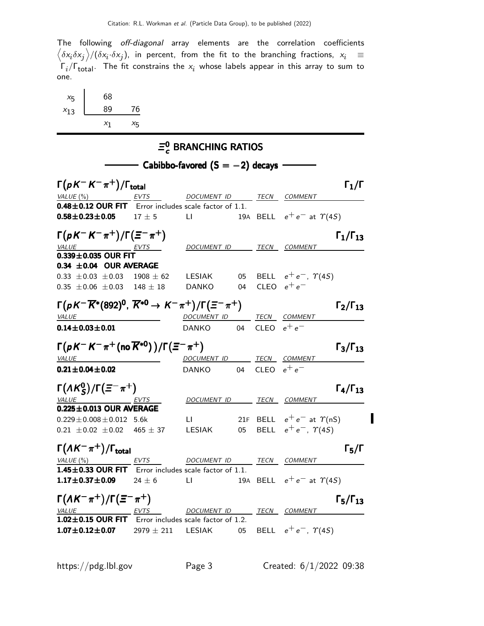The following off-diagonal array elements are the correlation coefficients  $\left<\delta x_i\delta x_j\right>$ / $(\delta x_i\cdot\delta x_j)$ , in percent, from the fit to the branching fractions,  $x_i$   $\;\equiv$  $\Gamma_i/\Gamma_{\rm total}$ . The fit constrains the  $x_i$  whose labels appear in this array to sum to one.

| $x_{5}$  | 68    |                    |
|----------|-------|--------------------|
| $x_{13}$ | 89    | 76                 |
|          | $X_1$ | $X_{\overline{5}}$ |

### $\Xi_c^0$  $_{c}^{\circ}$  BRANCHING RATIOS  $-$  Cabibbo-favored (S  $=-2$ ) decays  $\cdot$  $\Gamma(pK^-K^-\pi^+)/\Gamma_{\text{total}}$  Γ<sub>1</sub>/Γ VALUE (%) **EVTS** DOCUMENT ID TECN COMMENT  $0.48\pm0.12$  OUR FIT Error includes scale factor of 1.1. **0.58±0.23±0.05** 17 ± 5 LI 19A BELL  $e^+e^-$  at  $\Upsilon(4S)$  $\Gamma(pK^-K^-\pi^+)/\Gamma(\Xi^-\pi^+)$   $\Gamma_1/\Gamma_{13}$  $\Gamma_1/\Gamma_{13}$ VALUE EVTS DOCUMENT ID TECN COMMENT  $0.339 \pm 0.035$  OUR FIT  $0.34 \pm 0.04$  OUR AVERAGE 0.33  $\pm$ 0.03  $\pm$ 0.03 1908  $\pm$  62 LESIAK 05 BELL  $e^+e^-$ ,  $\Upsilon$ (4S)  $0.35 \pm 0.06 \pm 0.03$   $148 \pm 18$  DANKO 04 CLEO  $e^+e^ \Gamma(\rho\, K^-\overline{K}{}^*(892)^0,~\overline{K}{}^{*0}\to\, K^-\pi^+)/\Gamma(\Xi^-\pi^+)$   $\Gamma_2/\Gamma_{13}$  $\Gamma_2/\Gamma_{13}$ VALUE DOCUMENT ID TECN COMMENT  $0.14\pm0.03\pm0.01$  DANKO 04 cleo  $e^+e^ \Gamma(pK^-K^-\pi^+(\text{no}\,\overline{K}^{*0}))/\Gamma(\Xi^-\pi^+)$  Γ<sub>3</sub>/Γ<sub>13</sub>  $\Gamma_3/\Gamma_{13}$ VALUE **ALUE DOCUMENT ID TECN COMMENT** 0.21 $\pm$ 0.04 $\pm$ 0.02 DANKO 04 cleo  $e^+e^ \Gamma(AK_S^0)/\Gamma(\Xi^-\pi^+)$   $\Gamma_4/\Gamma_{13}$  $\Gamma_4/\Gamma_{13}$ VALUE EVTS DOCUMENT ID TECN COMMENT  $0.225\pm0.013$  OUR AVERAGE  $0.229 \pm 0.008 \pm 0.012$  5.6k LI 21F BELL  $e^+e^-$  at  $\Upsilon(nS)$  $0.21 \pm 0.02 \pm 0.02$  465  $\pm$  37 LESIAK 05 BELL  $e^+e^-$ ,  $\Upsilon(4S)$  $\Gamma(\Lambda K^-\pi^+) / \Gamma_{\text{total}}$ total VALUE (%) **EVTS** DOCUMENT ID TECN COMMENT 1.45 $\pm$ 0.33 OUR FIT Error includes scale factor of 1.1. **1.17±0.37±0.09** 24 ± 6 LI 19A BELL  $e^+e^-$  at  $\Upsilon(4S)$  $\Gamma(\Lambda K^-\pi^+) / \Gamma(\Xi^-\pi^+)$   $\Gamma_5 / \Gamma_{13}$  $\Gamma_5/\Gamma_{13}$ VALUE  $EVTS$  DOCUMENT ID TECN COMMENT  $1.02 \pm 0.15$  OUR FIT Error includes scale factor of 1.2. **1.07±0.12±0.07** 2979 ± 211 LESIAK 05 BELL  $e^+e^-$ ,  $\gamma(4S)$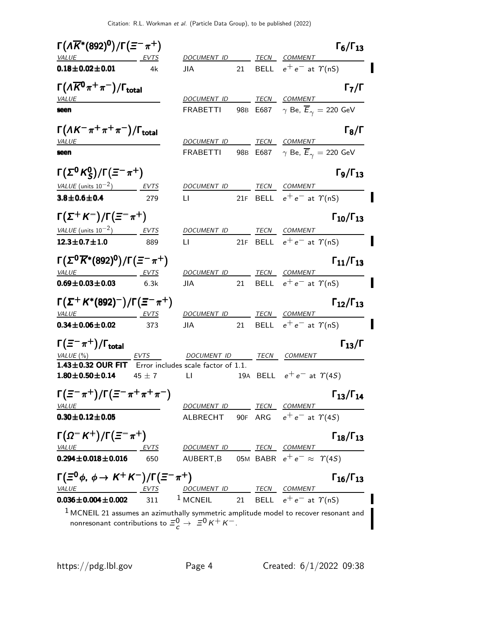| $\Gamma(\Lambda\overline{K}{}^*(892)^0)/\Gamma(\Xi^-\pi^+)$               |             |                                                            |    | $\Gamma_6/\Gamma_{13}$                                                                 |
|---------------------------------------------------------------------------|-------------|------------------------------------------------------------|----|----------------------------------------------------------------------------------------|
| VALUE EVTS                                                                |             | DOCUMENT ID                                                |    | <b>TECN COMMENT</b>                                                                    |
| $0.18 \pm 0.02 \pm 0.01$                                                  | 4k          | JIA                                                        |    | 21 BELL $e^+e^-$ at $\Upsilon(nS)$                                                     |
| $\Gamma(\Lambda\overline{K}^0\pi^+\pi^-)/\Gamma_{\rm total}$              |             |                                                            |    | $\Gamma_7/\Gamma$                                                                      |
| VALUE                                                                     |             | DOCUMENT ID                                                |    | TECN COMMENT                                                                           |
| seen                                                                      |             | <b>FRABETTI</b>                                            |    | 98B E687 $\gamma$ Be, $\overline{E}_{\gamma} = 220$ GeV                                |
| $\Gamma(\Lambda K^-\pi^+\pi^+\pi^-)/\Gamma_{\rm total}$                   |             |                                                            |    | $\Gamma_8/\Gamma$                                                                      |
| <b>VALUE</b>                                                              |             |                                                            |    | DOCUMENT ID TECN COMMENT                                                               |
| seen                                                                      |             | <b>FRABETTI</b>                                            |    | 98B E687 $\gamma$ Be, $\overline{E}_{\gamma} =$ 220 GeV                                |
| $\Gamma(\Sigma^0 K^0_S)/\Gamma(\Xi^-\pi^+)$                               |             |                                                            |    | $\Gamma_9/\Gamma_{13}$                                                                 |
| VALUE (units $10^{-2}$ ) EVTS                                             |             | DOCUMENT ID TECN COMMENT                                   |    |                                                                                        |
| $3.8 \pm 0.6 \pm 0.4$                                                     | 279         |                                                            |    | LI 21F BELL $e^+e^-$ at $\Upsilon(nS)$                                                 |
| $\Gamma(\Sigma^+ K^-)/\Gamma(\Xi^-\pi^+)$                                 |             |                                                            |    | $\Gamma_{10}/\Gamma_{13}$                                                              |
| VALUE (units $10^{-2}$ ) EVTS                                             |             | DOCUMENT ID                                                |    | TECN COMMENT                                                                           |
| $12.3 \pm 0.7 \pm 1.0$                                                    | 889         | LI.                                                        |    | 21F BELL $e^+e^-$ at $\Upsilon(nS)$                                                    |
| $\Gamma(\Sigma^0\overline{K}{}^*(892)^0)/\Gamma(\Xi^-\pi^+)$              |             |                                                            |    | $\Gamma_{11}/\Gamma_{13}$                                                              |
| VALUE EVTS                                                                |             | DOCUMENT ID TECN COMMENT                                   |    |                                                                                        |
| $0.69 \pm 0.03 \pm 0.03$                                                  | 6.3k        | JIA                                                        | 21 | BELL $e^+e^-$ at $\Upsilon(nS)$                                                        |
| $\Gamma(\Sigma^+ K^{*}(892)^-)/\Gamma(\Xi^-\pi^+)$                        |             |                                                            |    | $\Gamma_{12}/\Gamma_{13}$                                                              |
| VALUE EVTS                                                                |             | DOCUMENT ID                                                |    | TECN COMMENT                                                                           |
| $0.34 \pm 0.06 \pm 0.02$                                                  | 373         | <b>JIA</b>                                                 |    | 21 BELL $e^+e^-$ at $\Upsilon(nS)$                                                     |
| $\Gamma(\equiv^-\pi^+)/\Gamma_{\rm total}$                                |             |                                                            |    | $\Gamma_{13}/\Gamma$                                                                   |
| VALUE $(\%)$                                                              | <b>EVTS</b> | DOCUMENT ID                                                |    | TECN COMMENT                                                                           |
| 1.43±0.32 OUR FIT Error includes scale factor of 1.1.                     |             |                                                            |    |                                                                                        |
| $1.80 \pm 0.50 \pm 0.14$                                                  | 45 $\pm$ 7  | <b>Example 1</b>                                           |    | 19A BELL $e^+e^-$ at $\Upsilon(4S)$                                                    |
| $\Gamma(\varXi^-\pi^+)/\Gamma(\varXi^-\pi^+\pi^+\pi^-)$                   |             |                                                            |    | $\Gamma_{13}/\Gamma_{14}$                                                              |
| <b>VALUE</b>                                                              |             | DOCUMENT ID TECN COMMENT                                   |    |                                                                                        |
| $0.30 \pm 0.12 \pm 0.05$                                                  |             |                                                            |    | ALBRECHT 90F ARG $e^+e^-$ at $\Upsilon(4S)$                                            |
| $\Gamma(\Omega^- K^+)/\Gamma(\Xi^-\pi^+)$                                 |             |                                                            |    | $\Gamma_{18}/\Gamma_{13}$                                                              |
| <b>VALUE</b>                                                              | <u>EVTS</u> | DOCUMENT ID TECN COMMENT                                   |    |                                                                                        |
| $0.294 \pm 0.018 \pm 0.016$                                               | 650         |                                                            |    | AUBERT, B 05M BABR $e^+e^- \approx \Upsilon(4S)$                                       |
| $\Gamma(\Xi^0 \phi, \phi \to K^+ K^-)/\Gamma(\Xi^- \pi^+)$                |             |                                                            |    | $\Gamma_{16}/\Gamma_{13}$                                                              |
| <u>VALUE EVTS DOCUMENT ID TECN COMMENT</u><br>$0.036 \pm 0.004 \pm 0.002$ |             | 311 <sup>1</sup> MCNEIL 21 BELL $e^+e^-$ at $\gamma$ (nS)  |    |                                                                                        |
|                                                                           |             |                                                            |    |                                                                                        |
|                                                                           |             | nonresonant contributions to $\Xi_c^0 \to \Xi^0 K^+ K^-$ . |    | $1$ MCNEIL 21 assumes an azimuthally symmetric amplitude model to recover resonant and |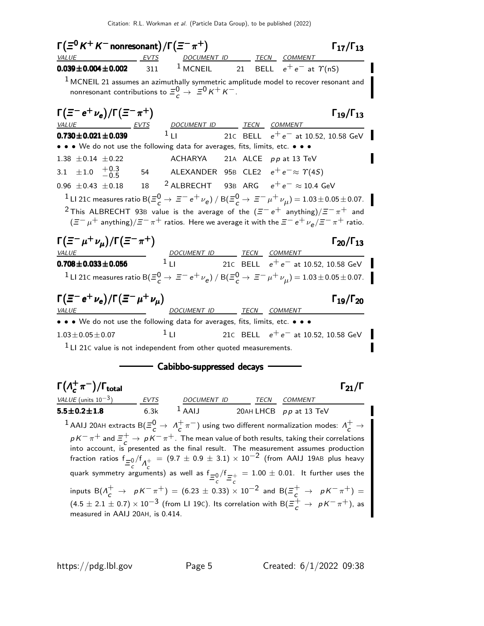$\Gamma(\Xi^0\,K^+\,K^-$  nonresonant) / $\Gamma(\Xi^-\,\pi^+)$   $\qquad \qquad \Gamma_{17}/\Gamma_{13}$ VALUE EVTS DOCUMENT ID TECN COMMENT **0.039±0.004±0.002** 311 <sup>1</sup> MCNEIL 21 BELL  $e^+e^-$  at  $\gamma$ (nS)  $<sup>1</sup>$  MCNEIL 21 assumes an azimuthally symmetric amplitude model to recover resonant and</sup> nonresonant contributions to  $\Xi_c^0 \to \Xi^0 K^+ K^-$ .  $\Gamma (\Xi^- e^+ \nu_e)/\Gamma (\Xi^- \pi^+)$  Γ<sub>19</sub>/Γ<sub>13</sub>  $\Gamma_{19}/\Gamma_{13}$ DOCUMENT ID TECN COMMENT **0.730±0.021±0.039** <sup>1</sup> LI 21C BELL  $e^+e^-$  at 10.52, 10.58 GeV • • • We do not use the following data for averages, fits, limits, etc. • • • 1.38  $\pm$  0.14  $\pm$  0.22 ACHARYA 21A ALCE pp at 13 TeV 3.1  $\pm 1.0$   $+0.3$ <br>-0.5 ALEXANDER 95B CLE2  $e^+e^- \approx \gamma(4S)$ 0.96 ± 0.43 ± 0.18 18 <sup>2</sup> ALBRECHT 93B ARG  $e^+e^- \approx 10.4$  GeV  $\frac{1}{2}$  LI 21C measures ratio B( $\Xi_c^0$  →  $\Xi^-$  e<sup>+</sup>  $\nu_e$ ) / B( $\Xi_c^0$  →  $\Xi^-$  μ<sup>+</sup>  $\nu_\mu$ ) = 1.03±0.05±0.07. <sup>2</sup> This ALBRECHT 93B value is the average of the ( $\Xi^- e^+$  anything)/ $\Xi^- \pi^+$  and  $(\bar{z} - \mu^+$  anything)/ $\bar{z} - \pi^+$  ratios. Here we average it with the  $\bar{z} - e^+ \nu_e/\bar{z} - \pi^+$  ratio.  $\Gamma(\Xi^-\mu^+\nu_\mu)/\Gamma(\Xi^-\pi^+)$  Γ<sub>20</sub>/Γ<sub>13</sub>  $\equiv$   $-\pi$ <sup>+</sup>) Γ<sub>20</sub>/Γ<sub>13</sub> VALUE 2000 DOCUMENT ID TECN COMMENT **0.708** $\pm$ **0.033** $\pm$ **0.056** <sup>1</sup> LI 21C BELL  $e^+e^-$  at 10.52, 10.58 GeV <sup>1</sup> LI 21C measures ratio B( $\Xi_c^0$  →  $\bar{z}^-$  e<sup>+</sup>  $\nu_e$ ) / B( $\bar{z}_c^0$  →  $\bar{z}^-$  μ<sup>+</sup>  $\nu_\mu$ ) = 1.03±0.05±0.07.  $\Gamma (\Xi^- e^+ \nu_e)/\Gamma (\Xi^- \mu^+ \nu_\mu)$  Γ<sub>19</sub>/Γ<sub>20</sub>  $\Gamma_{19}/\Gamma_{20}$ VALUE DOCUMENT ID TECN COMMENT • • • We do not use the following data for averages, fits, limits, etc. • • •  $1.03 \pm 0.05 \pm 0.07$  1 LI 21C BELL  $e^+e^-$  at 10.52, 10.58 GeV  $<sup>1</sup>$  LI 21 $<sup>c</sup>$  value is not independent from other quoted measurements.</sup></sup> - Cabibbo-suppressed decays - $\mathsf{\Gamma}(\Lambda_{\mathsf{\mathsf{c}}}^+$  $\Gamma(\Lambda_c^+\pi^-)/\Gamma_{\rm total}$  Γ<sub>21</sub>/Γ VALUE (units  $10^{-3}$ ) EVTS DOCUMENT ID TECN COMMENT  $5.5\pm0.2\pm1.8$  6.3k  $^1$  AAIJ 20AH LHCB pp at 13 TeV  $^1$  AAIJ 20AH extracts  $\mathsf{B}(\varXi_c^0\to~\varLambda_c^+)$  $\frac{+}{c}\pi^-$ ) using two different normalization modes:  $\Lambda_c^+ \to$  $p K^- \pi^+$  and  $\equiv_c^+ \rightarrow p K^- \pi^+$ . The mean value of both results, taking their correlations into account, is presented as the final result. The measurement assumes production fraction ratios  $f_{\equiv c}^{0/f} \Lambda_c^+$  $= (9.7 \pm 0.9 \pm 3.1) \times 10^{-2}$  (from AAIJ 19AB plus heavy quark symmetry arguments) as well as  $f_{\equiv} = 0 \frac{f_{\equiv}}{c} = \frac{1}{c}$  $= 1.00 \pm 0.01$ . It further uses the inputs  $B(\Lambda_c^+ \to pK^-\pi^+) = (6.23 \pm 0.33) \times 10^{-2}$  and  $B(\Xi_c^+ \to pK^-\pi^+) =$  $(4.5 \pm 2.1 \pm 0.7) \times 10^{-3}$  (from LI 19C). Its correlation with B( $\Xi_c^+ \to pK^-\pi^+$ ), as measured in AAIJ 20AH, is 0.414.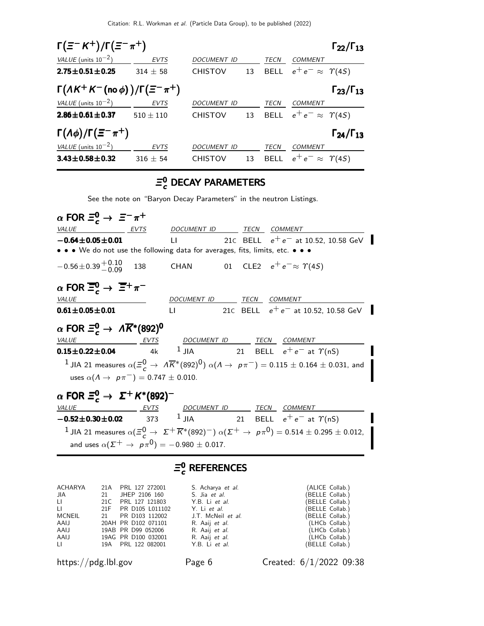| $\Gamma(\Xi^- K^+)/\Gamma(\Xi^- \pi^+)$<br>$\Gamma_{22}/\Gamma_{13}$ |               |                    |    |             |                                    |                           |
|----------------------------------------------------------------------|---------------|--------------------|----|-------------|------------------------------------|---------------------------|
| VALUE (units $10^{-2}$ )                                             | <b>EVTS</b>   | <b>DOCUMENT ID</b> |    | <b>TECN</b> | COMMENT                            |                           |
| $2.75 \pm 0.51 \pm 0.25$                                             | $314 + 58$    | <b>CHISTOV</b>     | 13 |             | BELL $e^+e^- \approx \Upsilon(4S)$ |                           |
| $\Gamma(\Lambda K^+ K^-$ (no $\phi)$ )/ $\Gamma(\Xi^- \pi^+)$        |               |                    |    |             |                                    | $\Gamma_{23}/\Gamma_{13}$ |
| VALUE (units $10^{-2}$ )                                             | <b>EVTS</b>   | <b>DOCUMENT ID</b> |    | TECN        | COMMENT                            |                           |
| $2.86 \pm 0.61 \pm 0.37$                                             | $510 \pm 110$ | <b>CHISTOV</b>     | 13 |             | BELL $e^+e^- \approx \Upsilon(4S)$ |                           |
| $\Gamma(\Lambda \phi)/\Gamma(\Xi^-\pi^+)$                            |               |                    |    |             |                                    | $\Gamma_{24}/\Gamma_{13}$ |
| VALUE (units $10^{-2}$ )                                             | <b>EVTS</b>   | <b>DOCUMENT ID</b> |    | TECN        | COMMENT                            |                           |
| $3.43 \pm 0.58 \pm 0.32$                                             | $316 \pm 54$  | <b>CHISTOV</b>     | 13 | <b>BELL</b> | $e^+e^- \approx \Upsilon(4S)$      |                           |

## $\mathcal{Z}_{c}^{\mathbf{0}}$  DECAY PARAMETERS

See the note on "Baryon Decay Parameters" in the neutron Listings.

| $\alpha$ FOR $\Xi_c^0 \to \Xi^- \pi^+$                                                                                                  |                          |                                                                                                                                               |
|-----------------------------------------------------------------------------------------------------------------------------------------|--------------------------|-----------------------------------------------------------------------------------------------------------------------------------------------|
| VALUE<br>EVTS                                                                                                                           | DOCUMENT ID TECN COMMENT |                                                                                                                                               |
|                                                                                                                                         |                          | $-0.64 \pm 0.05 \pm 0.01$ LI 21 C BELL $e^+e^-$ at 10.52, 10.58 GeV                                                                           |
| • • We do not use the following data for averages, fits, limits, etc. • • •                                                             |                          |                                                                                                                                               |
| $-0.56 \pm 0.39 \frac{+0.10}{-0.09}$ 138 CHAN 01 CLE2 $e^+e^- \approx \Upsilon(45)$                                                     |                          |                                                                                                                                               |
| $\alpha$ FOR $\overline{\Xi}_c^0$ $\rightarrow$ $\overline{\Xi}^+\pi^-$                                                                 |                          |                                                                                                                                               |
| <i>VALUE</i>                                                                                                                            | DOCUMENT ID TECN COMMENT |                                                                                                                                               |
| $0.61 \pm 0.05 \pm 0.01$                                                                                                                |                          | LI 21C BELL $e^+e^-$ at 10.52, 10.58 GeV                                                                                                      |
| $\alpha$ FOR $\Xi_c^0 \to \Lambda \overline{K}^*(892)^0$<br>VALUE EVTS DOCUMENT ID TECN COMMENT                                         |                          |                                                                                                                                               |
| <b>0.15±0.22±0.04</b> 4k <sup>1</sup> JIA 21 BELL $e^+e^-$ at $\Upsilon(nS)$                                                            |                          |                                                                                                                                               |
|                                                                                                                                         |                          | <sup>1</sup> JIA 21 measures $\alpha(\Xi_c^0 \to~\Lambda\overline{K}{}^*(892)^0)$ $\alpha(\Lambda \to~\rho\pi^-)=0.115\pm0.164\pm0.031$ , and |
| uses $\alpha(A \to p\pi^{-}) = 0.747 \pm 0.010$ .                                                                                       |                          |                                                                                                                                               |
| $\alpha$ FOR $\Xi_c^0 \to \Sigma^+ K^*(892)^-$                                                                                          |                          |                                                                                                                                               |
|                                                                                                                                         |                          |                                                                                                                                               |
| $\underbrace{VALUE}$ EVTS DOCUMENT ID TECN COMMENT<br>$-0.52 \pm 0.30 \pm 0.02$ 373 <sup>1</sup> JIA 21 BELL $e^+e^-$ at $\Upsilon(nS)$ |                          |                                                                                                                                               |
|                                                                                                                                         |                          | 1 JIA 21 measures $\alpha(\Xi_c^0 \to \Sigma^+ \overline{K}{}^*(892)^-) \alpha(\Sigma^+ \to \rho \pi^0) = 0.514 \pm 0.295 \pm 0.012$ ,        |
| and uses $\alpha(\Sigma^+ \to p\pi^0) = -0.980 \pm 0.017$ .                                                                             |                          |                                                                                                                                               |

#### $\equiv$ <sup>0</sup> **c** REFERENCES

| JIA<br>LL.<br>U.<br><b>MCNEIL</b><br>AAIJ<br>AAIJ<br>AAIJ | ACHARYA 21A PRL 127 272001<br>21 JHEP 2106 160<br>21C PRL 127 121803<br>21F PR D105 L011102<br>21 PR D103 112002<br>20AH PR D102 071101<br>19AB PR D99 052006<br>19AG PR D100 032001 | S. Acharya et al.<br>S. Jia <i>et al.</i><br>Y.B. Li et al.<br>Y. Li et al.<br>J.T. McNeil <i>et al.</i><br>R. Aaij et al.<br>R. Aaij et al.<br>R. Aaij et al. | (ALICE Collab.)<br>(BELLE Collab.)<br>(BELLE Collab.)<br>(BELLE Collab.)<br>(BELLE Collab.)<br>(LHCb Collab.)<br>(LHCb Collab.)<br>(LHCb Collab.) |
|-----------------------------------------------------------|--------------------------------------------------------------------------------------------------------------------------------------------------------------------------------------|----------------------------------------------------------------------------------------------------------------------------------------------------------------|---------------------------------------------------------------------------------------------------------------------------------------------------|
| $\Box$                                                    | 19A PRL 122 082001                                                                                                                                                                   | Y.B. Li et al.                                                                                                                                                 | (BELLE Collab.)                                                                                                                                   |